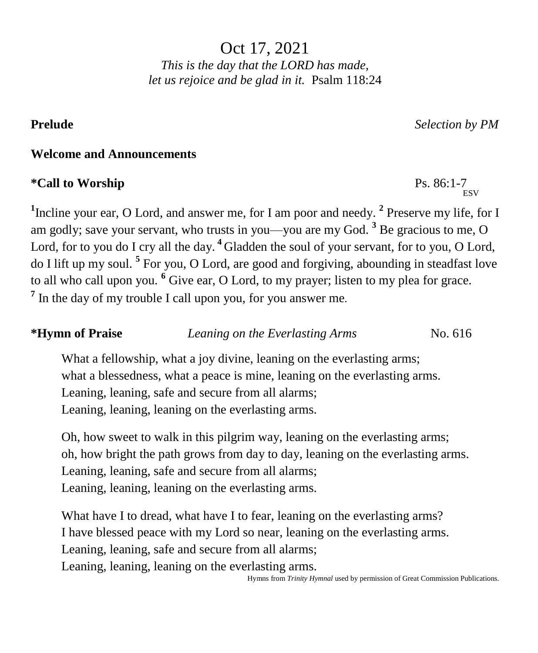Oct 17, 2021 *This is the day that the LORD has made, let us rejoice and be glad in it.* Psalm 118:24

**Prelude** *Selection by PM*

**ESV** 

#### **Welcome and Announcements**

#### **\*Call to Worship** Ps. 86:1-7

<sup>1</sup>Incline your ear, O Lord, and answer me, for I am poor and needy. <sup>2</sup> Preserve my life, for I am godly; save your servant, who trusts in you—you are my God. **<sup>3</sup>** Be gracious to me, O Lord, for to you do I cry all the day.<sup>4</sup> Gladden the soul of your servant, for to you, O Lord, do I lift up my soul. **<sup>5</sup>** For you, O Lord, are good and forgiving, abounding in steadfast love to all who call upon you. **<sup>6</sup>** Give ear, O Lord, to my prayer; listen to my plea for grace. <sup>7</sup> In the day of my trouble I call upon you, for you answer me.

### **\*Hymn of Praise** *Leaning on the Everlasting Arms* No. 616

What a fellowship, what a joy divine, leaning on the everlasting arms; what a blessedness, what a peace is mine, leaning on the everlasting arms. Leaning, leaning, safe and secure from all alarms; Leaning, leaning, leaning on the everlasting arms.

Oh, how sweet to walk in this pilgrim way, leaning on the everlasting arms; oh, how bright the path grows from day to day, leaning on the everlasting arms. Leaning, leaning, safe and secure from all alarms; Leaning, leaning, leaning on the everlasting arms.

What have I to dread, what have I to fear, leaning on the everlasting arms? I have blessed peace with my Lord so near, leaning on the everlasting arms. Leaning, leaning, safe and secure from all alarms; Leaning, leaning, leaning on the everlasting arms.

Hymns from *Trinity Hymnal* used by permission of Great Commission Publications.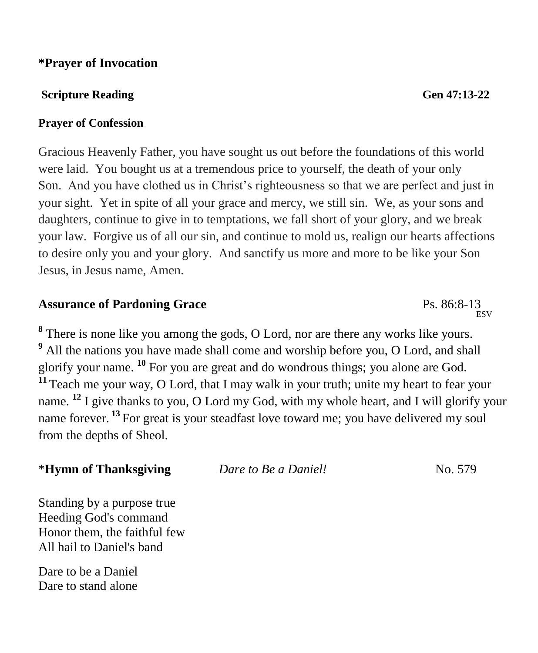#### **\*Prayer of Invocation**

#### **Scripture Reading General Accords** General Accords General Accords General Accords General Accords General Accords General Accords General Accords General Accords General Accords General Accords General Accords General Ac

#### **Prayer of Confession**

Gracious Heavenly Father, you have sought us out before the foundations of this world were laid. You bought us at a tremendous price to yourself, the death of your only Son. And you have clothed us in Christ's righteousness so that we are perfect and just in your sight. Yet in spite of all your grace and mercy, we still sin. We, as your sons and daughters, continue to give in to temptations, we fall short of your glory, and we break your law. Forgive us of all our sin, and continue to mold us, realign our hearts affections to desire only you and your glory. And sanctify us more and more to be like your Son Jesus, in Jesus name, Amen.

# **Assurance of Pardoning Grace** Ps. 86:8-13

**8** There is none like you among the gods, O Lord, nor are there any works like yours. **<sup>9</sup>** All the nations you have made shall come and worship before you, O Lord, and shall glorify your name. **<sup>10</sup>** For you are great and do wondrous things; you alone are God. **<sup>11</sup>** Teach me your way, O Lord, that I may walk in your truth; unite my heart to fear your name. <sup>12</sup> I give thanks to you, O Lord my God, with my whole heart, and I will glorify your name forever. **<sup>13</sup>** For great is your steadfast love toward me; you have delivered my soul from the depths of Sheol.

\***Hymn of Thanksgiving** *Dare to Be a Daniel!*No. 579

Standing by a purpose true Heeding God's command Honor them, the faithful few All hail to Daniel's band

Dare to be a Daniel Dare to stand alone

ESV<sub>R</sub>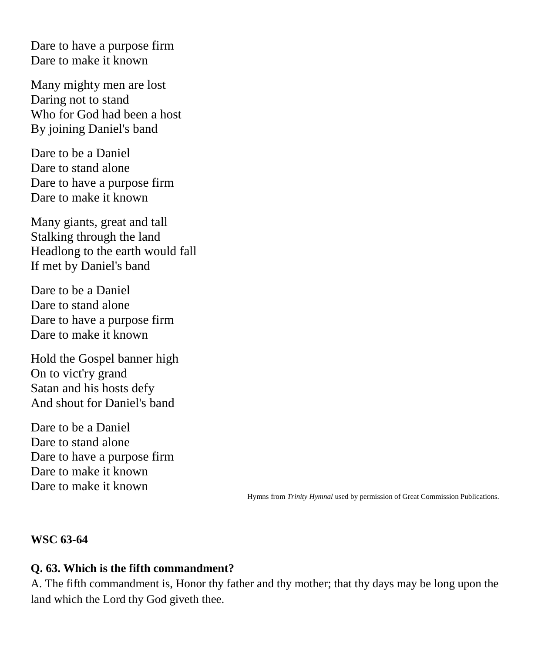Dare to have a purpose firm Dare to make it known

Many mighty men are lost Daring not to stand Who for God had been a host By joining Daniel's band

Dare to be a Daniel Dare to stand alone Dare to have a purpose firm Dare to make it known

Many giants, great and tall Stalking through the land Headlong to the earth would fall If met by Daniel's band

Dare to be a Daniel Dare to stand alone Dare to have a purpose firm Dare to make it known

Hold the Gospel banner high On to vict'ry grand Satan and his hosts defy And shout for Daniel's band

Dare to be a Daniel Dare to stand alone Dare to have a purpose firm Dare to make it known Dare to make it known

Hymns from *Trinity Hymnal* used by permission of Great Commission Publications.

#### **WSC 63-64**

#### **Q. 63. Which is the fifth commandment?**

A. The fifth commandment is, Honor thy father and thy mother; that thy days may be long upon the land which the Lord thy God giveth thee.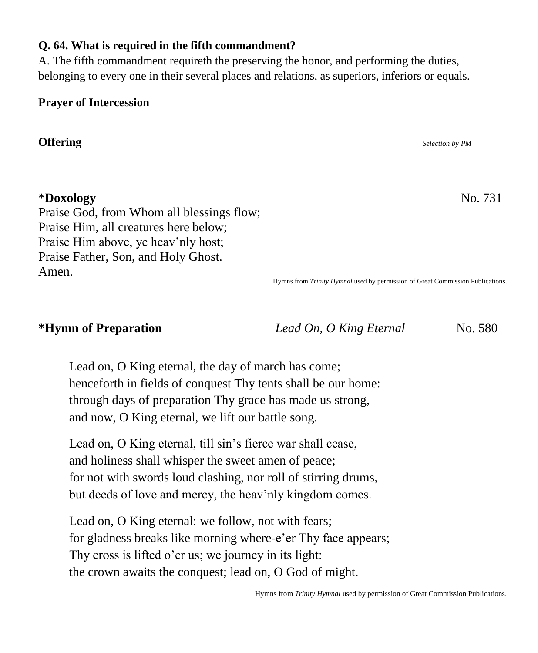#### Hymns from *Trinity Hymnal* used by permission of Great Commission Publications.

#### **Q. 64. What is required in the fifth commandment?**

A. The fifth commandment requireth the preserving the honor, and performing the duties, belonging to every one in their several places and relations, as superiors, inferiors or equals.

#### **Prayer of Intercession**

**Offering** *Selection by PM*

#### \***Doxology** No. 731

Praise God, from Whom all blessings flow; Praise Him, all creatures here below; Praise Him above, ye heav'nly host; Praise Father, Son, and Holy Ghost. Amen.

Hymns from *Trinity Hymnal* used by permission of Great Commission Publications.

#### **\*Hymn of Preparation** *Lead On, O King Eternal* No. 580

Lead on, O King eternal, the day of march has come; henceforth in fields of conquest Thy tents shall be our home: through days of preparation Thy grace has made us strong, and now, O King eternal, we lift our battle song.

Lead on, O King eternal, till sin's fierce war shall cease, and holiness shall whisper the sweet amen of peace; for not with swords loud clashing, nor roll of stirring drums, but deeds of love and mercy, the heav'nly kingdom comes.

Lead on, O King eternal: we follow, not with fears; for gladness breaks like morning where-e'er Thy face appears; Thy cross is lifted o'er us; we journey in its light: the crown awaits the conquest; lead on, O God of might.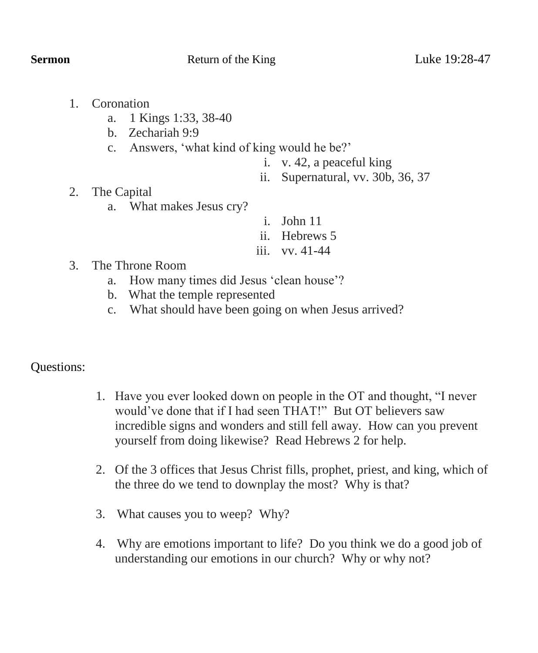- 1. Coronation
	- a. 1 Kings 1:33, 38-40
	- b. Zechariah 9:9
	- c. Answers, 'what kind of king would he be?'
		- i. v. 42, a peaceful king
		- ii. Supernatural, vv. 30b, 36, 37

- 2. The Capital
	- a. What makes Jesus cry?
- i. John 11
- ii. Hebrews 5
- iii. vv. 41-44

- 3. The Throne Room
	- a. How many times did Jesus 'clean house'?
	- b. What the temple represented
	- c. What should have been going on when Jesus arrived?

#### Questions:

- 1. Have you ever looked down on people in the OT and thought, "I never would've done that if I had seen THAT!" But OT believers saw incredible signs and wonders and still fell away. How can you prevent yourself from doing likewise? Read Hebrews 2 for help.
- 2. Of the 3 offices that Jesus Christ fills, prophet, priest, and king, which of the three do we tend to downplay the most? Why is that?
- 3. What causes you to weep? Why?
- 4. Why are emotions important to life? Do you think we do a good job of understanding our emotions in our church? Why or why not?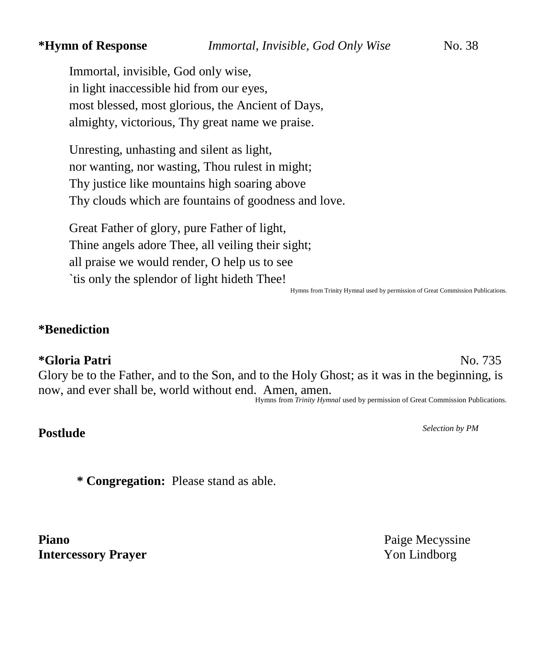Immortal, invisible, God only wise, in light inaccessible hid from our eyes, most blessed, most glorious, the Ancient of Days, almighty, victorious, Thy great name we praise.

Unresting, unhasting and silent as light, nor wanting, nor wasting, Thou rulest in might; Thy justice like mountains high soaring above Thy clouds which are fountains of goodness and love.

Great Father of glory, pure Father of light, Thine angels adore Thee, all veiling their sight; all praise we would render, O help us to see `tis only the splendor of light hideth Thee!

Hymns from Trinity Hymnal used by permission of Great Commission Publications.

#### **\*Benediction**

#### **\*Gloria Patri** No. 735

Glory be to the Father, and to the Son, and to the Holy Ghost; as it was in the beginning, is now, and ever shall be, world without end. Amen, amen.

Hymns from *Trinity Hymnal* used by permission of Great Commission Publications.

## **Postlude** *Selection by PM*

**\* Congregation:** Please stand as able.

Piano Paige Mecyssine **Intercessory Prayer** Yon Lindborg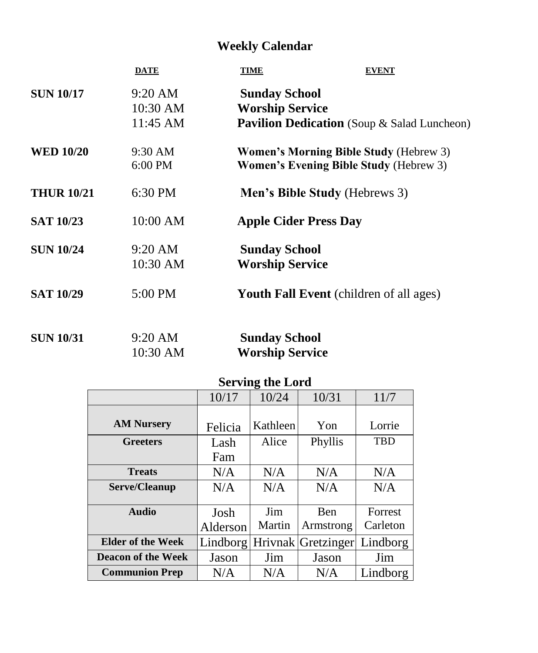## **Weekly Calendar**

|                   | <b>DATE</b>                               | <b>TIME</b><br><b>EVENT</b>                                                                    |
|-------------------|-------------------------------------------|------------------------------------------------------------------------------------------------|
| <b>SUN 10/17</b>  | $9:20 \text{ AM}$<br>10:30 AM<br>11:45 AM | <b>Sunday School</b><br><b>Worship Service</b><br>Pavilion Dedication (Soup & Salad Luncheon)  |
| <b>WED 10/20</b>  | $9:30$ AM<br>6:00 PM                      | <b>Women's Morning Bible Study (Hebrew 3)</b><br><b>Women's Evening Bible Study (Hebrew 3)</b> |
| <b>THUR 10/21</b> | 6:30 PM                                   | <b>Men's Bible Study (Hebrews 3)</b>                                                           |
| <b>SAT 10/23</b>  | 10:00 AM                                  | <b>Apple Cider Press Day</b>                                                                   |
| <b>SUN 10/24</b>  | $9:20 \text{ AM}$<br>10:30 AM             | <b>Sunday School</b><br><b>Worship Service</b>                                                 |
| <b>SAT 10/29</b>  | 5:00 PM                                   | <b>Youth Fall Event</b> (children of all ages)                                                 |
| <b>SUN 10/31</b>  | $9:20 \text{ AM}$<br>10:30 AM             | <b>Sunday School</b><br><b>Worship Service</b>                                                 |

### **Serving the Lord**

|                           | 10/17    | 10/24    | 10/31              | 11/7       |
|---------------------------|----------|----------|--------------------|------------|
|                           |          |          |                    |            |
| <b>AM Nursery</b>         | Felicia  | Kathleen | Yon                | Lorrie     |
| <b>Greeters</b>           | Lash     | Alice    | Phyllis            | <b>TBD</b> |
|                           | Fam      |          |                    |            |
| <b>Treats</b>             | N/A      | N/A      | N/A                | N/A        |
| Serve/Cleanup             | N/A      | N/A      | N/A                | N/A        |
|                           |          |          |                    |            |
| <b>Audio</b>              | Josh     | Jim      | <b>Ben</b>         | Forrest    |
|                           | Alderson | Martin   | Armstrong          | Carleton   |
| <b>Elder of the Week</b>  | Lindborg |          | Hrivnak Gretzinger | Lindborg   |
| <b>Deacon of the Week</b> | Jason    | Jim      | Jason              | Jim        |
| <b>Communion Prep</b>     | N/A      | N/A      | N/A                | Lindborg   |